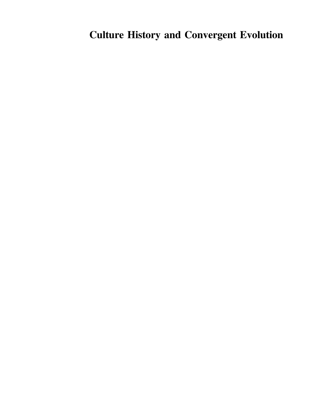Culture History and Convergent Evolution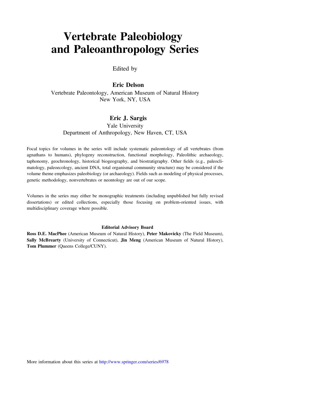# Vertebrate Paleobiology and Paleoanthropology Series

Edited by

#### Eric Delson

Vertebrate Paleontology, American Museum of Natural History New York, NY, USA

#### Eric J. Sargis

#### Yale University Department of Anthropology, New Haven, CT, USA

Focal topics for volumes in the series will include systematic paleontology of all vertebrates (from agnathans to humans), phylogeny reconstruction, functional morphology, Paleolithic archaeology, taphonomy, geochronology, historical biogeography, and biostratigraphy. Other fields (e.g., paleoclimatology, paleoecology, ancient DNA, total organismal community structure) may be considered if the volume theme emphasizes paleobiology (or archaeology). Fields such as modeling of physical processes, genetic methodology, nonvertebrates or neontology are out of our scope.

Volumes in the series may either be monographic treatments (including unpublished but fully revised dissertations) or edited collections, especially those focusing on problem-oriented issues, with multidisciplinary coverage where possible.

#### Editorial Advisory Board

Ross D.E. MacPhee (American Museum of Natural History), Peter Makovicky (The Field Museum), Sally McBrearty (University of Connecticut), Jin Meng (American Museum of Natural History), Tom Plummer (Queens College/CUNY).

More information about this series at http://www.springer.com/series/6978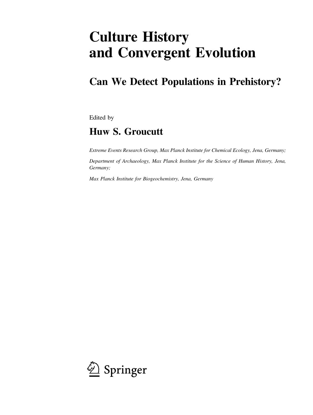# Culture History and Convergent Evolution

## Can We Detect Populations in Prehistory?

Edited by

### Huw S. Groucutt

Extreme Events Research Group, Max Planck Institute for Chemical Ecology, Jena, Germany;

Department of Archaeology, Max Planck Institute for the Science of Human History, Jena, Germany;

Max Planck Institute for Biogeochemistry, Jena, Germany

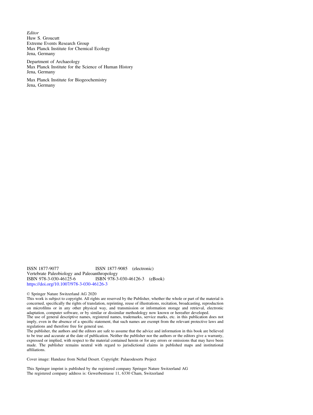Editor Huw S. Groucutt Extreme Events Research Group Max Planck Institute for Chemical Ecology Jena, Germany

Department of Archaeology Max Planck Institute for the Science of Human History Jena, Germany

Max Planck Institute for Biogeochemistry Jena, Germany

ISSN 1877-9077 ISSN 1877-9085 (electronic) Vertebrate Paleobiology and Paleoanthropology ISBN 978-3-030-46125-6 ISBN 978-3-030-46126-3 (eBook) <https://doi.org/10.1007/978-3-030-46126-3>

© Springer Nature Switzerland AG 2020

This work is subject to copyright. All rights are reserved by the Publisher, whether the whole or part of the material is concerned, specifically the rights of translation, reprinting, reuse of illustrations, recitation, broadcasting, reproduction on microfilms or in any other physical way, and transmission or information storage and retrieval, electronic adaptation, computer software, or by similar or dissimilar methodology now known or hereafter developed.

The use of general descriptive names, registered names, trademarks, service marks, etc. in this publication does not imply, even in the absence of a specific statement, that such names are exempt from the relevant protective laws and regulations and therefore free for general use.

The publisher, the authors and the editors are safe to assume that the advice and information in this book are believed to be true and accurate at the date of publication. Neither the publisher nor the authors or the editors give a warranty, expressed or implied, with respect to the material contained herein or for any errors or omissions that may have been made. The publisher remains neutral with regard to jurisdictional claims in published maps and institutional affiliations.

Cover image: Handaxe from Nefud Desert. Copyright: Palaeodeserts Project

This Springer imprint is published by the registered company Springer Nature Switzerland AG The registered company address is: Gewerbestrasse 11, 6330 Cham, Switzerland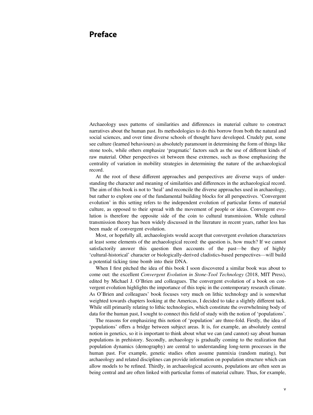### Preface

Archaeology uses patterns of similarities and differences in material culture to construct narratives about the human past. Its methodologies to do this borrow from both the natural and social sciences, and over time diverse schools of thought have developed. Crudely put, some see culture (learned behaviours) as absolutely paramount in determining the form of things like stone tools, while others emphasize 'pragmatic' factors such as the use of different kinds of raw material. Other perspectives sit between these extremes, such as those emphasizing the centrality of variation in mobility strategies in determining the nature of the archaeological record.

At the root of these different approaches and perspectives are diverse ways of understanding the character and meaning of similarities and differences in the archaeological record. The aim of this book is not to 'heal' and reconcile the diverse approaches used in archaeology, but rather to explore one of the fundamental building blocks for all perspectives. 'Convergent evolution' in this setting refers to the independent evolution of particular forms of material culture, as opposed to their spread with the movement of people or ideas. Convergent evolution is therefore the opposite side of the coin to cultural transmission. While cultural transmission theory has been widely discussed in the literature in recent years, rather less has been made of convergent evolution.

Most, or hopefully all, archaeologists would accept that convergent evolution characterizes at least some elements of the archaeological record: the question is, how much? If we cannot satisfactorily answer this question then accounts of the past—be they of highly 'cultural-historical' character or biologically-derived cladistics-based perspectives—will build a potential ticking time bomb into their DNA.

When I first pitched the idea of this book I soon discovered a similar book was about to come out: the excellent Convergent Evolution in Stone-Tool Technology (2018, MIT Press), edited by Michael J. O'Brien and colleagues. The convergent evolution of a book on convergent evolution highlights the importance of this topic in the contemporary research climate. As O'Brien and colleagues' book focuses very much on lithic technology and is somewhat weighted towards chapters looking at the Americas, I decided to take a slightly different tack. While still primarily relating to lithic technologies, which constitute the overwhelming body of data for the human past, I sought to connect this field of study with the notion of 'populations'.

The reasons for emphasizing this notion of 'population' are three-fold. Firstly, the idea of 'populations' offers a bridge between subject areas. It is, for example, an absolutely central notion in genetics, so it is important to think about what we can (and cannot) say about human populations in prehistory. Secondly, archaeology is gradually coming to the realization that population dynamics (demography) are central to understanding long-term processes in the human past. For example, genetic studies often assume panmixia (random mating), but archaeology and related disciplines can provide information on population structure which can allow models to be refined. Thirdly, in archaeological accounts, populations are often seen as being central and are often linked with particular forms of material culture. Thus, for example,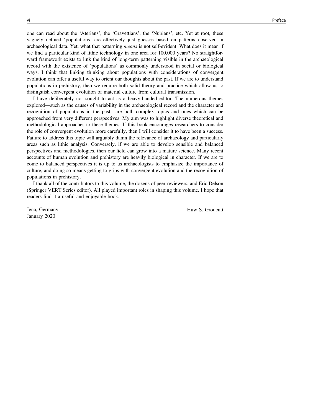one can read about the 'Aterians', the 'Gravettians', the 'Nubians', etc. Yet at root, these vaguely defined 'populations' are effectively just guesses based on patterns observed in archaeological data. Yet, what that patterning *means* is not self-evident. What does it mean if we find a particular kind of lithic technology in one area for 100,000 years? No straightforward framework exists to link the kind of long-term patterning visible in the archaeological record with the existence of 'populations' as commonly understood in social or biological ways. I think that linking thinking about populations with considerations of convergent evolution can offer a useful way to orient our thoughts about the past. If we are to understand populations in prehistory, then we require both solid theory and practice which allow us to distinguish convergent evolution of material culture from cultural transmission.

I have deliberately not sought to act as a heavy-handed editor. The numerous themes explored—such as the causes of variability in the archaeological record and the character and recognition of populations in the past—are both complex topics and ones which can be approached from very different perspectives. My aim was to highlight diverse theoretical and methodological approaches to these themes. If this book encourages researchers to consider the role of convergent evolution more carefully, then I will consider it to have been a success. Failure to address this topic will arguably damn the relevance of archaeology and particularly areas such as lithic analysis. Conversely, if we are able to develop sensible and balanced perspectives and methodologies, then our field can grow into a mature science. Many recent accounts of human evolution and prehistory are heavily biological in character. If we are to come to balanced perspectives it is up to us archaeologists to emphasize the importance of culture, and doing so means getting to grips with convergent evolution and the recognition of populations in prehistory.

I thank all of the contributors to this volume, the dozens of peer-reviewers, and Eric Delson (Springer VERT Series editor). All played important roles in shaping this volume. I hope that readers find it a useful and enjoyable book.

Jena, Germany January 2020

Huw S. Groucutt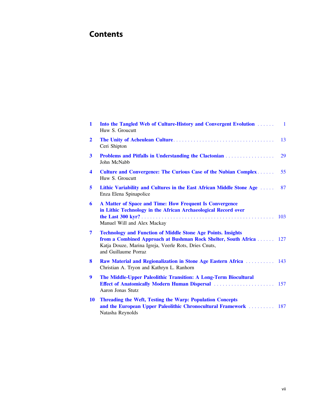### Contents

| $\mathbf{1}$         | Into the Tangled Web of Culture-History and Convergent Evolution<br>Huw S. Groucutt                                                                                                                                         | $\blacksquare$ |
|----------------------|-----------------------------------------------------------------------------------------------------------------------------------------------------------------------------------------------------------------------------|----------------|
| $\overline{2}$       | Ceri Shipton                                                                                                                                                                                                                | 13             |
| $\mathbf{3}$         | <b>Problems and Pitfalls in Understanding the Clactonian </b><br>John McNabb                                                                                                                                                | 29             |
| $\blacktriangleleft$ | <b>Culture and Convergence: The Curious Case of the Nubian Complex</b><br>Huw S. Groucutt                                                                                                                                   | 55             |
| 5                    | Lithic Variability and Cultures in the East African Middle Stone Age<br>Enza Elena Spinapolice                                                                                                                              | 87             |
| 6                    | A Matter of Space and Time: How Frequent Is Convergence<br>in Lithic Technology in the African Archaeological Record over<br>Manuel Will and Alex Mackay                                                                    | 103            |
| $\overline{7}$       | <b>Technology and Function of Middle Stone Age Points. Insights</b><br>from a Combined Approach at Bushman Rock Shelter, South Africa  127<br>Katja Douze, Marina Igreja, Veerle Rots, Dries Cnuts,<br>and Guillaume Porraz |                |
| 8                    | <b>Raw Material and Regionalization in Stone Age Eastern Africa</b> 143<br>Christian A. Tryon and Kathryn L. Ranhorn                                                                                                        |                |
| 9                    | The Middle-Upper Paleolithic Transition: A Long-Term Biocultural<br>Aaron Jonas Stutz                                                                                                                                       |                |
| <b>10</b>            | Threading the Weft, Testing the Warp: Population Concepts<br>and the European Upper Paleolithic Chronocultural Framework  187<br>Natasha Reynolds                                                                           |                |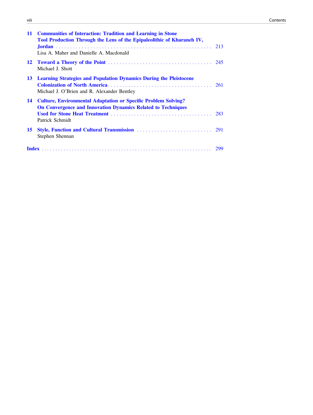|    | 11 Communities of Interaction: Tradition and Learning in Stone<br>Tool Production Through the Lens of the Epipaleolithic of Kharaneh IV,     |  |
|----|----------------------------------------------------------------------------------------------------------------------------------------------|--|
|    | Lisa A. Maher and Danielle A. Macdonald                                                                                                      |  |
| 12 | Michael J. Shott                                                                                                                             |  |
| 13 | <b>Learning Strategies and Population Dynamics During the Pleistocene</b><br>Michael J. O'Brien and R. Alexander Bentley                     |  |
| 14 | <b>Culture, Environmental Adaptation or Specific Problem Solving?</b><br><b>On Convergence and Innovation Dynamics Related to Techniques</b> |  |
|    | Patrick Schmidt                                                                                                                              |  |
| 15 | Stephen Shennan                                                                                                                              |  |
|    |                                                                                                                                              |  |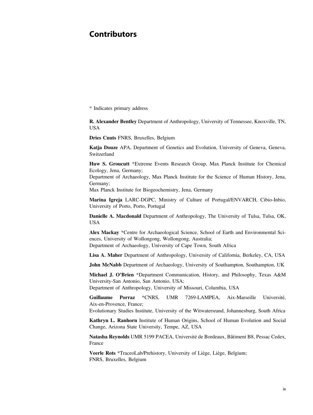### **Contributors**

\* Indicates primary address

R. Alexander Bentley Department of Anthropology, University of Tennessee, Knoxville, TN, USA

Dries Cnuts FNRS, Bruxelles, Belgium

Katja Douze APA, Department of Genetics and Evolution, University of Geneva, Geneva, Switzerland

Huw S. Groucutt \*Extreme Events Research Group, Max Planck Institute for Chemical Ecology, Jena, Germany;

Department of Archaeology, Max Planck Institute for the Science of Human History, Jena, Germany;

Max Planck Institute for Biogeochemistry, Jena, Germany

Marina Igreja LARC-DGPC, Ministry of Culture of Portugal/ENVARCH, Cibio-Inbio, University of Porto, Porto, Portugal

Danielle A. Macdonald Department of Anthropology, The University of Tulsa, Tulsa, OK, USA

Alex Mackay \*Centre for Archaeological Science, School of Earth and Environmental Sciences, University of Wollongong, Wollongong, Australia; Department of Archaeology, University of Cape Town, South Africa

Lisa A. Maher Department of Anthropology, University of California, Berkeley, CA, USA

John McNabb Department of Archaeology, University of Southampton, Southampton, UK

Michael J. O'Brien \*Department Communication, History, and Philosophy, Texas A&M University-San Antonio, San Antonio, USA; Department of Anthropology, University of Missouri, Columbia, USA

Guillaume Porraz \*CNRS, UMR 7269-LAMPEA, Aix-Marseille Université, Aix-en-Provence, France;

Evolutionary Studies Institute, University of the Witwatersrand, Johannesburg, South Africa

Kathryn L. Ranhorn Institute of Human Origins, School of Human Evolution and Social Change, Arizona State University, Tempe, AZ, USA

Natasha Reynolds UMR 5199 PACEA, Université de Bordeaux, Bâtiment B8, Pessac Cedex, France

Veerle Rots \*TraceoLab/Prehistory, University of Liège, Liège, Belgium; FNRS, Bruxelles, Belgium